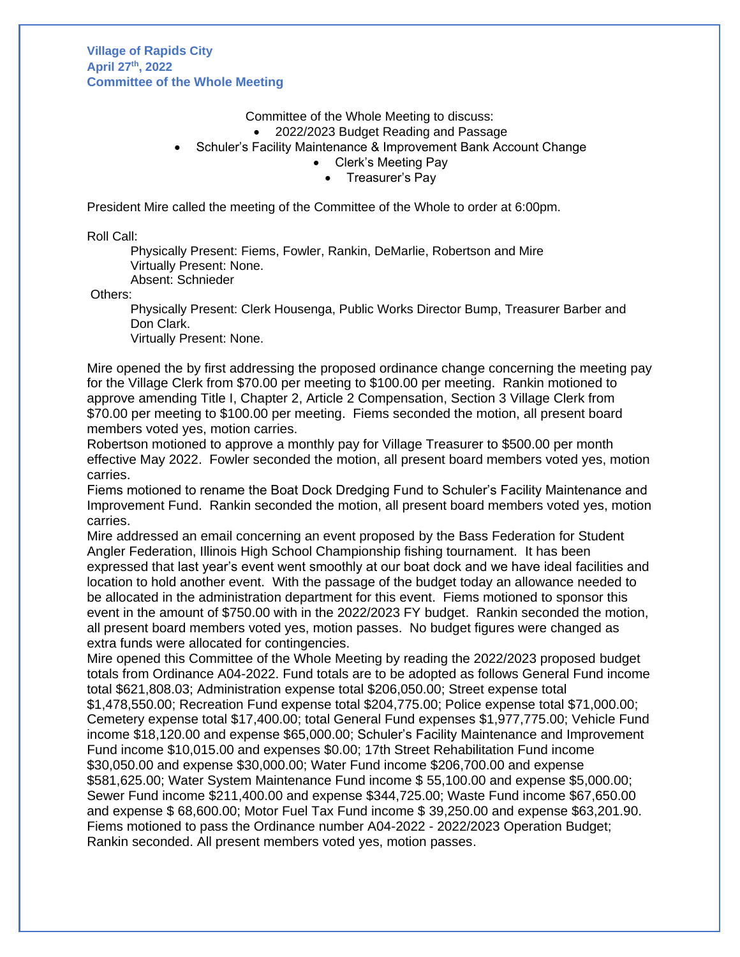**Village of Rapids City April 27 th, 2022 Committee of the Whole Meeting** 

Committee of the Whole Meeting to discuss:

• 2022/2023 Budget Reading and Passage

• Schuler's Facility Maintenance & Improvement Bank Account Change

Clerk's Meeting Pay

• Treasurer's Pay

President Mire called the meeting of the Committee of the Whole to order at 6:00pm.

Roll Call:

Physically Present: Fiems, Fowler, Rankin, DeMarlie, Robertson and Mire Virtually Present: None.

Absent: Schnieder

Others:

Physically Present: Clerk Housenga, Public Works Director Bump, Treasurer Barber and Don Clark.

Virtually Present: None.

Mire opened the by first addressing the proposed ordinance change concerning the meeting pay for the Village Clerk from \$70.00 per meeting to \$100.00 per meeting. Rankin motioned to approve amending Title I, Chapter 2, Article 2 Compensation, Section 3 Village Clerk from \$70.00 per meeting to \$100.00 per meeting. Fiems seconded the motion, all present board members voted yes, motion carries.

Robertson motioned to approve a monthly pay for Village Treasurer to \$500.00 per month effective May 2022. Fowler seconded the motion, all present board members voted yes, motion carries.

Fiems motioned to rename the Boat Dock Dredging Fund to Schuler's Facility Maintenance and Improvement Fund. Rankin seconded the motion, all present board members voted yes, motion carries.

Mire addressed an email concerning an event proposed by the Bass Federation for Student Angler Federation, Illinois High School Championship fishing tournament. It has been expressed that last year's event went smoothly at our boat dock and we have ideal facilities and location to hold another event. With the passage of the budget today an allowance needed to be allocated in the administration department for this event. Fiems motioned to sponsor this event in the amount of \$750.00 with in the 2022/2023 FY budget. Rankin seconded the motion, all present board members voted yes, motion passes. No budget figures were changed as extra funds were allocated for contingencies.

Mire opened this Committee of the Whole Meeting by reading the 2022/2023 proposed budget totals from Ordinance A04-2022. Fund totals are to be adopted as follows General Fund income total \$621,808.03; Administration expense total \$206,050.00; Street expense total \$1,478,550.00; Recreation Fund expense total \$204,775.00; Police expense total \$71,000.00; Cemetery expense total \$17,400.00; total General Fund expenses \$1,977,775.00; Vehicle Fund income \$18,120.00 and expense \$65,000.00; Schuler's Facility Maintenance and Improvement Fund income \$10,015.00 and expenses \$0.00; 17th Street Rehabilitation Fund income \$30,050.00 and expense \$30,000.00; Water Fund income \$206,700.00 and expense \$581,625.00; Water System Maintenance Fund income \$ 55,100.00 and expense \$5,000.00; Sewer Fund income \$211,400.00 and expense \$344,725.00; Waste Fund income \$67,650.00 and expense \$ 68,600.00; Motor Fuel Tax Fund income \$ 39,250.00 and expense \$63,201.90. Fiems motioned to pass the Ordinance number A04-2022 - 2022/2023 Operation Budget; Rankin seconded. All present members voted yes, motion passes.